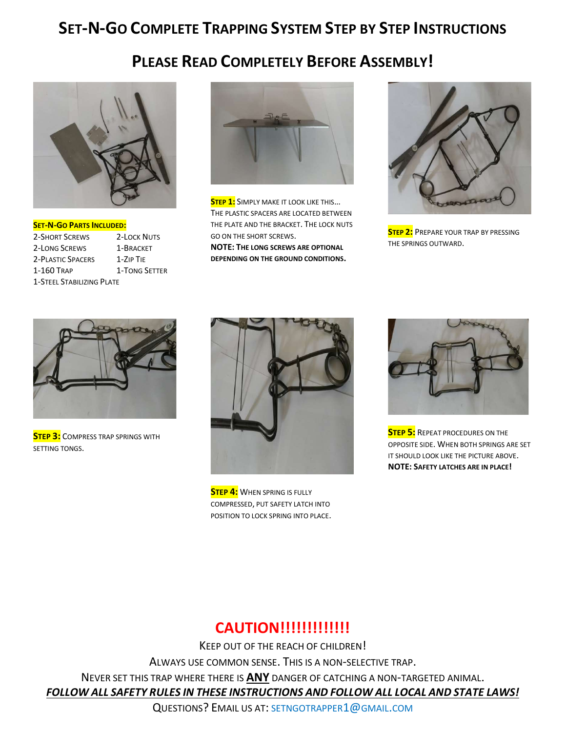# SET-N-GO COMPLETE TRAPPING SYSTEM STEP BY STEP INSTRUCTIONS

### PLEASE READ COMPLETELY BEFORE ASSEMBLY!



SET-N-GO PARTS INCLUDED: 2-SHORT SCREWS 2-LOCK NUTS 2-LONG SCREWS 1-BRACKET 2-PLASTIC SPACERS 1-ZIP TIE 1-160 TRAP 1-TONG SETTER 1-STEEL STABILIZING PLATE



**STEP 1:** SIMPLY MAKE IT LOOK LIKE THIS... THE PLASTIC SPACERS ARE LOCATED BETWEEN THE PLATE AND THE BRACKET. THE LOCK NUTS GO ON THE SHORT SCREWS.

NOTE: THE LONG SCREWS ARE OPTIONAL DEPENDING ON THE GROUND CONDITIONS.



**STEP 2:** PREPARE YOUR TRAP BY PRESSING THE SPRINGS OUTWARD.



**STEP 3:** COMPRESS TRAP SPRINGS WITH SETTING TONGS.



**STEP 4:** WHEN SPRING IS FULLY COMPRESSED, PUT SAFETY LATCH INTO POSITION TO LOCK SPRING INTO PLACE.



**STEP 5:** REPEAT PROCEDURES ON THE OPPOSITE SIDE. WHEN BOTH SPRINGS ARE SET IT SHOULD LOOK LIKE THE PICTURE ABOVE. NOTE: SAFETY LATCHES ARE IN PLACE!

### CAUTION!!!!!!!!!!!!!

KEEP OUT OF THE REACH OF CHILDREN! ALWAYS USE COMMON SENSE. THIS IS A NON-SELECTIVE TRAP. NEVER SET THIS TRAP WHERE THERE IS ANY DANGER OF CATCHING A NON-TARGETED ANIMAL. FOLLOW ALL SAFETY RULES IN THESE INSTRUCTIONS AND FOLLOW ALL LOCAL AND STATE LAWS!

QUESTIONS? EMAIL US AT: SETNGOTRAPPER1@GMAIL.COM